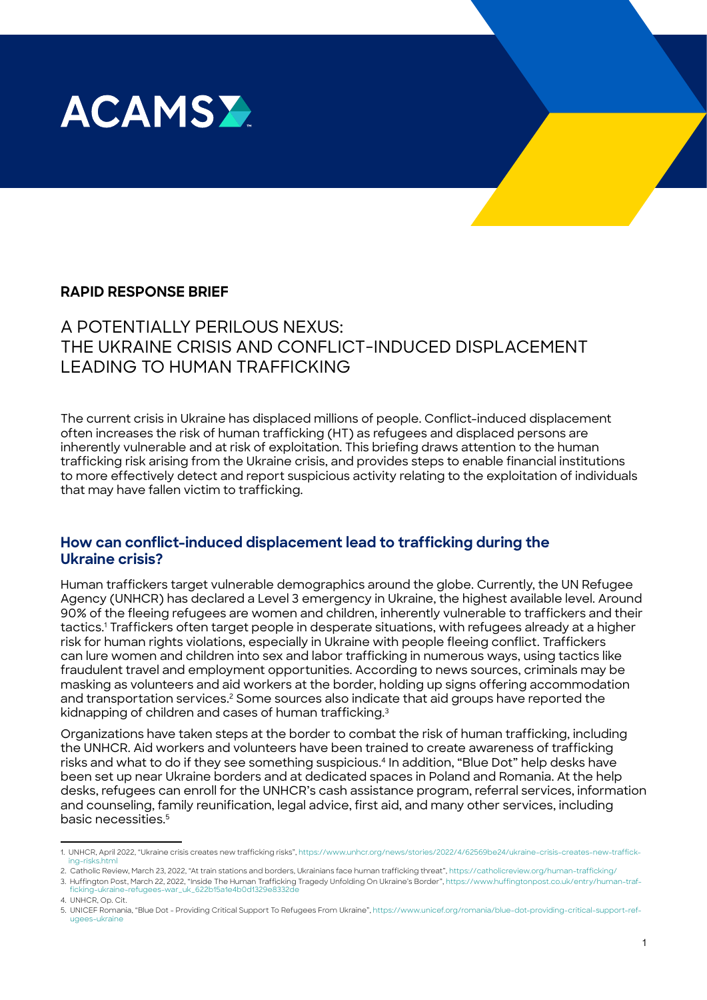

## **RAPID RESPONSE BRIEF**

# A POTENTIALLY PERILOUS NEXUS: THE UKRAINE CRISIS AND CONFLICT-INDUCED DISPLACEMENT LEADING TO HUMAN TRAFFICKING

The current crisis in Ukraine has displaced millions of people. Conflict-induced displacement often increases the risk of human trafficking (HT) as refugees and displaced persons are inherently vulnerable and at risk of exploitation. This briefing draws attention to the human trafficking risk arising from the Ukraine crisis, and provides steps to enable financial institutions to more effectively detect and report suspicious activity relating to the exploitation of individuals that may have fallen victim to trafficking.

## **How can conflict-induced displacement lead to trafficking during the Ukraine crisis?**

Human traffickers target vulnerable demographics around the globe. Currently, the UN Refugee Agency (UNHCR) has declared a Level 3 emergency in Ukraine, the highest available level. Around 90% of the fleeing refugees are women and children, inherently vulnerable to traffickers and their tactics.1 Traffickers often target people in desperate situations, with refugees already at a higher risk for human rights violations, especially in Ukraine with people fleeing conflict. Traffickers can lure women and children into sex and labor trafficking in numerous ways, using tactics like fraudulent travel and employment opportunities. According to news sources, criminals may be masking as volunteers and aid workers at the border, holding up signs offering accommodation and transportation services.<sup>2</sup> Some sources also indicate that aid groups have reported the kidnapping of children and cases of human trafficking.3

Organizations have taken steps at the border to combat the risk of human trafficking, including the UNHCR. Aid workers and volunteers have been trained to create awareness of trafficking risks and what to do if they see something suspicious.4 In addition, "Blue Dot" help desks have been set up near Ukraine borders and at dedicated spaces in Poland and Romania. At the help desks, refugees can enroll for the UNHCR's cash assistance program, referral services, information and counseling, family reunification, legal advice, first aid, and many other services, including basic necessities.<sup>5</sup>

<sup>1.</sup> UNHCR, April 2022, "Ukraine crisis creates new trafficking risks", [https://www.unhcr.org/news/stories/2022/4/62569be24/ukraine-crisis-creates-new-traffick](https://www.unhcr.org/news/stories/2022/4/62569be24/ukraine-crisis-creates-new-trafficking-risks.html)[ing-risks.html](https://www.unhcr.org/news/stories/2022/4/62569be24/ukraine-crisis-creates-new-trafficking-risks.html)

<sup>2.</sup> Catholic Review, March 23, 2022, "At train stations and borders, Ukrainians face human trafficking threat",<https://catholicreview.org/human-trafficking/> 3. Huffington Post, March 22, 2022, "Inside The Human Trafficking Tragedy Unfolding On Ukraine's Border", [https://www.huffingtonpost.co.uk/entry/human-traf](https://www.huffingtonpost.co.uk/entry/human-trafficking-ukraine-refugees-war_uk_622b15a1e4b0d1329e8332de)maning.com ost, maron 22, 2022, misiae mie naman maniowir<br>ficking-ukraine-refugees-war\_uk\_622b15a1e4b0d1329e8332

<sup>4.</sup> UNHCR, Op. Cit.

<sup>5.</sup> UNICEF Romania, "Blue Dot - Providing Critical Support To Refugees From Ukraine", [https://www.unicef.org/romania/blue-dot-providing-critical-support-ref](https://www.unicef.org/romania/blue-dot-providing-critical-support-refugees-ukraine)[ugees-ukraine](https://www.unicef.org/romania/blue-dot-providing-critical-support-refugees-ukraine)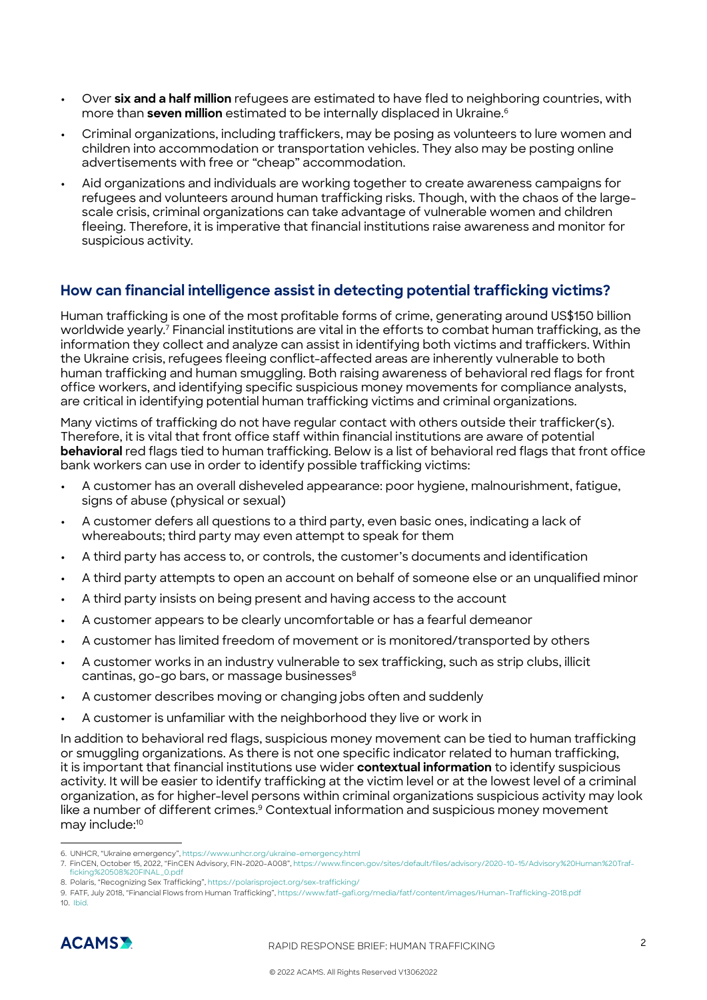- **•** Over **six and a half million** refugees are estimated to have fled to neighboring countries, with more than **seven million** estimated to be internally displaced in Ukraine.<sup>6</sup>
- **•** Criminal organizations, including traffickers, may be posing as volunteers to lure women and children into accommodation or transportation vehicles. They also may be posting online advertisements with free or "cheap" accommodation.
- **•** Aid organizations and individuals are working together to create awareness campaigns for refugees and volunteers around human trafficking risks. Though, with the chaos of the largescale crisis, criminal organizations can take advantage of vulnerable women and children fleeing. Therefore, it is imperative that financial institutions raise awareness and monitor for suspicious activity.

## **How can financial intelligence assist in detecting potential trafficking victims?**

Human trafficking is one of the most profitable forms of crime, generating around US\$150 billion worldwide yearly.7 Financial institutions are vital in the efforts to combat human trafficking, as the information they collect and analyze can assist in identifying both victims and traffickers. Within the Ukraine crisis, refugees fleeing conflict-affected areas are inherently vulnerable to both human trafficking and human smuggling. Both raising awareness of behavioral red flags for front office workers, and identifying specific suspicious money movements for compliance analysts, are critical in identifying potential human trafficking victims and criminal organizations.

Many victims of trafficking do not have regular contact with others outside their trafficker(s). Therefore, it is vital that front office staff within financial institutions are aware of potential **behavioral** red flags tied to human trafficking. Below is a list of behavioral red flags that front office bank workers can use in order to identify possible trafficking victims:

- **•** A customer has an overall disheveled appearance: poor hygiene, malnourishment, fatigue, signs of abuse (physical or sexual)
- **•** A customer defers all questions to a third party, even basic ones, indicating a lack of whereabouts; third party may even attempt to speak for them
- **•** A third party has access to, or controls, the customer's documents and identification
- **•** A third party attempts to open an account on behalf of someone else or an unqualified minor
- **•** A third party insists on being present and having access to the account
- **•** A customer appears to be clearly uncomfortable or has a fearful demeanor
- **•** A customer has limited freedom of movement or is monitored/transported by others
- **•** A customer works in an industry vulnerable to sex trafficking, such as strip clubs, illicit cantinas, go-go bars, or massage businesses<sup>8</sup>
- **•** A customer describes moving or changing jobs often and suddenly
- **•** A customer is unfamiliar with the neighborhood they live or work in

In addition to behavioral red flags, suspicious money movement can be tied to human trafficking or smuggling organizations. As there is not one specific indicator related to human trafficking, it is important that financial institutions use wider **contextual information** to identify suspicious activity. It will be easier to identify trafficking at the victim level or at the lowest level of a criminal organization, as for higher-level persons within criminal organizations suspicious activity may look like a number of different crimes.<sup>9</sup> Contextual information and suspicious money movement may include:10

<sup>9.</sup> FATF, July 2018, "Financial Flows from Human Trafficking", <https://www.fatf-gafi.org/media/fatf/content/images/Human-Trafficking-2018.pdf> 10. [Ibid.](http://www.fatf-gafi.org/media/fatf/content/images/Human-Trafficking-2018.pdf)



<sup>6.</sup> UNHCR, "Ukraine emergency", <https://www.unhcr.org/ukraine-emergency.html>

<sup>7.</sup> FinCEN, October 15, 2022, "FinCEN Advisory, FIN-2020-A008", [https://www.fincen.gov/sites/default/files/advisory/2020-10-15/Advisory%20Human%20Traf](https://www.fincen.gov/sites/default/files/advisory/2020-10-15/Advisory%20Human%20Trafficking%20508%20FINAL_0.pdf)[ficking%20508%20FINAL\\_0.pdf](https://www.fincen.gov/sites/default/files/advisory/2020-10-15/Advisory%20Human%20Trafficking%20508%20FINAL_0.pdf) 

<sup>8.</sup> Polaris, "Recognizing Sex Trafficking",<https://polarisproject.org/sex-trafficking/>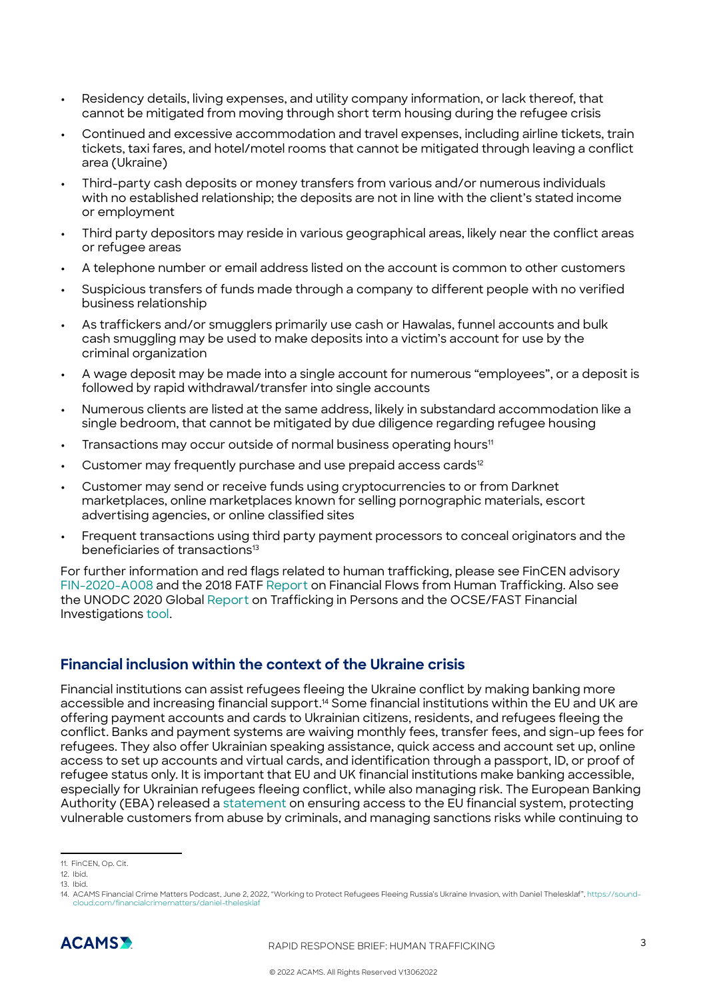- **•** Residency details, living expenses, and utility company information, or lack thereof, that cannot be mitigated from moving through short term housing during the refugee crisis
- **•** Continued and excessive accommodation and travel expenses, including airline tickets, train tickets, taxi fares, and hotel/motel rooms that cannot be mitigated through leaving a conflict area (Ukraine)
- **•** Third-party cash deposits or money transfers from various and/or numerous individuals with no established relationship; the deposits are not in line with the client's stated income or employment
- **•** Third party depositors may reside in various geographical areas, likely near the conflict areas or refugee areas
- **•** A telephone number or email address listed on the account is common to other customers
- **•** Suspicious transfers of funds made through a company to different people with no verified business relationship
- **•** As traffickers and/or smugglers primarily use cash or Hawalas, funnel accounts and bulk cash smuggling may be used to make deposits into a victim's account for use by the criminal organization
- **•** A wage deposit may be made into a single account for numerous "employees", or a deposit is followed by rapid withdrawal/transfer into single accounts
- **•** Numerous clients are listed at the same address, likely in substandard accommodation like a single bedroom, that cannot be mitigated by due diligence regarding refugee housing
- Transactions may occur outside of normal business operating hours<sup>11</sup>
- Customer may frequently purchase and use prepaid access cards<sup>12</sup>
- **•** Customer may send or receive funds using cryptocurrencies to or from Darknet marketplaces, online marketplaces known for selling pornographic materials, escort advertising agencies, or online classified sites
- **•** Frequent transactions using third party payment processors to conceal originators and the beneficiaries of transactions<sup>13</sup>

For further information and red flags related to human trafficking, please see FinCEN advisory [FIN-2020-A008](https://www.fincen.gov/sites/default/files/advisory/2020-10-15/Advisory%20Human%20Trafficking%20508%20FINAL_0.pdf) and the 2018 FATF [Report](http://www.fatf-gafi.org/media/fatf/content/images/Human-Trafficking-2018.pdf) on Financial Flows from Human Trafficking. Also see the UNODC 2020 Global [Report](https://www.unodc.org/documents/data-and-analysis/tip/2021/GLOTiP_2020_15jan_web.pdf) on Trafficking in Persons and the OCSE/FAST Financial Investigations [tool.](https://www.fastinitiative.org/implementation/financial-investigations/)

## **Financial inclusion within the context of the Ukraine crisis**

Financial institutions can assist refugees fleeing the Ukraine conflict by making banking more accessible and increasing financial support.<sup>14</sup> Some financial institutions within the EU and UK are offering payment accounts and cards to Ukrainian citizens, residents, and refugees fleeing the conflict. Banks and payment systems are waiving monthly fees, transfer fees, and sign-up fees for refugees. They also offer Ukrainian speaking assistance, quick access and account set up, online access to set up accounts and virtual cards, and identification through a passport, ID, or proof of refugee status only. It is important that EU and UK financial institutions make banking accessible, especially for Ukrainian refugees fleeing conflict, while also managing risk. The European Banking Authority (EBA) released a [statement](https://www.eba.europa.eu/sites/default/documents/files/document_library/Publications/Other%20publications/2022/1031627/EBA%20statement%20on%20financial%20inclusion%20in%20relation%20to%20Ukraine.pdf#:~:text=EBA%20statement%20on%20financial%20inclusion%20in%20the%20context,calls%20on%20financial%20institutions%20to%20provide%20such%20access.?msclkid=142c23e5d14411ec86474b5bb1ef66a7) on ensuring access to the EU financial system, protecting vulnerable customers from abuse by criminals, and managing sanctions risks while continuing to

<sup>14.</sup> ACAMS Financial Crime Matters Podcast, June 2, 2022, "Working to Protect Refugees Fleeing Russia's Ukraine Invasion, with Daniel Thelesklaf", [https://sound](https://soundcloud.com/financialcrimematters/daniel-thelesklaf)crimematters/daniel-thele



<sup>11.</sup> FinCEN, Op. Cit.

<sup>12.</sup> Ibid.

<sup>13.</sup> Ibid.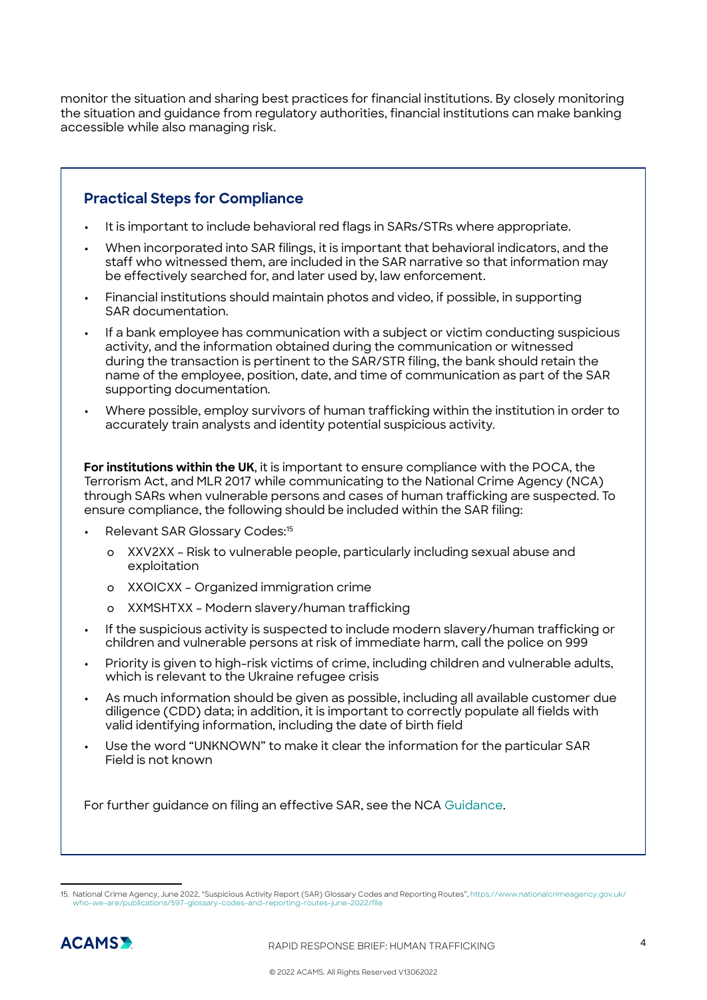monitor the situation and sharing best practices for financial institutions. By closely monitoring the situation and guidance from regulatory authorities, financial institutions can make banking accessible while also managing risk.

## **Practical Steps for Compliance**

- **•** It is important to include behavioral red flags in SARs/STRs where appropriate.
- **•** When incorporated into SAR filings, it is important that behavioral indicators, and the staff who witnessed them, are included in the SAR narrative so that information may be effectively searched for, and later used by, law enforcement.
- **•** Financial institutions should maintain photos and video, if possible, in supporting SAR documentation.
- **•** If a bank employee has communication with a subject or victim conducting suspicious activity, and the information obtained during the communication or witnessed during the transaction is pertinent to the SAR/STR filing, the bank should retain the name of the employee, position, date, and time of communication as part of the SAR supporting documentation.
- **•** Where possible, employ survivors of human trafficking within the institution in order to accurately train analysts and identity potential suspicious activity.

**For institutions within the UK**, it is important to ensure compliance with the POCA, the Terrorism Act, and MLR 2017 while communicating to the National Crime Agency (NCA) through SARs when vulnerable persons and cases of human trafficking are suspected. To ensure compliance, the following should be included within the SAR filing:

- **•** Relevant SAR Glossary Codes:<sup>15</sup>
	- ⚪ XXV2XX Risk to vulnerable people, particularly including sexual abuse and exploitation
	- ⚪ XXOICXX Organized immigration crime
	- ⚪ XXMSHTXX Modern slavery/human trafficking
- **•** If the suspicious activity is suspected to include modern slavery/human trafficking or children and vulnerable persons at risk of immediate harm, call the police on 999
- **•** Priority is given to high-risk victims of crime, including children and vulnerable adults, which is relevant to the Ukraine refugee crisis
- **•** As much information should be given as possible, including all available customer due diligence (CDD) data; in addition, it is important to correctly populate all fields with valid identifying information, including the date of birth field
- **•** Use the word "UNKNOWN" to make it clear the information for the particular SAR Field is not known

For further guidance on filing an effective SAR, see the NCA [Guidance.](https://www.nationalcrimeagency.gov.uk/who-we-are/publications/446-guidance-on-submitting-better-quality-sars-1/file)

<sup>15.</sup> National Crime Agency, June 2022, "Suspicious Activity Report (SAR) Glossary Codes and Reporting Routes", [https://www.nationalcrimeagency.gov.uk/](https://www.nationalcrimeagency.gov.uk/who-we-are/publications/597-glossary-codes-and-reporting-routes-june-2022/file) vario Esee," daspididas hotting hopeit (entry diseasary estadi<br>is/597[-glossary-codes-and-reporting-routes-](https://www.nationalcrimeagency.gov.uk/who-we-are/publications/597-glossary-codes-and-reporting-routes-june-2022/file)june-2022/file

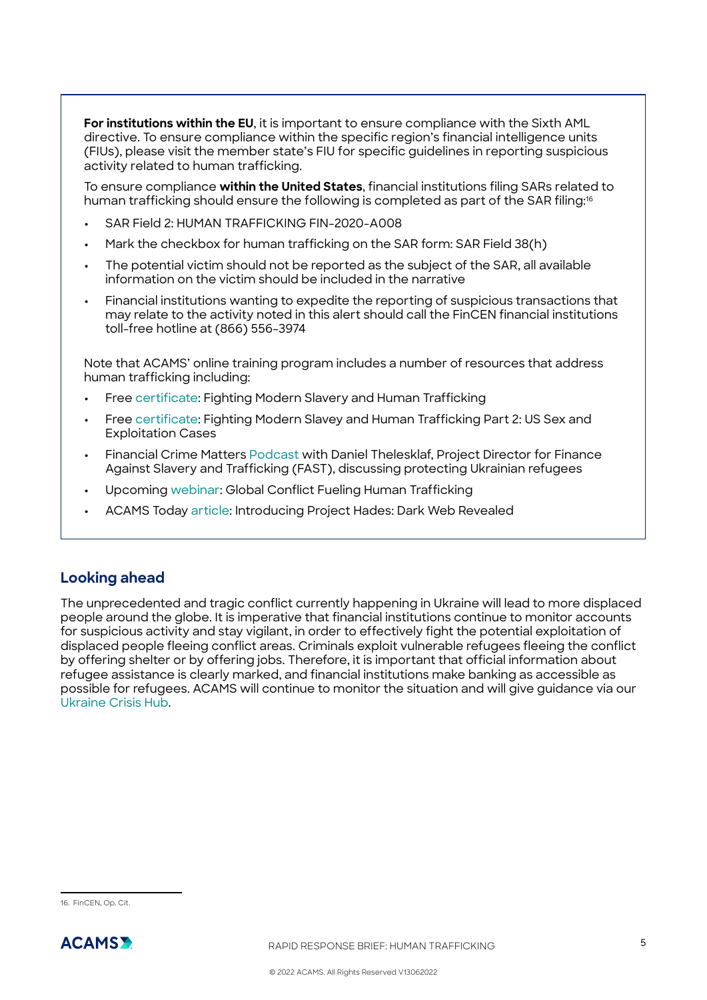**For institutions within the EU**, it is important to ensure compliance with the Sixth AML directive. To ensure compliance within the specific region's financial intelligence units (FIUs), please visit the member state's FIU for specific guidelines in reporting suspicious activity related to human trafficking.

To ensure compliance **within the United States**, financial institutions filing SARs related to human trafficking should ensure the following is completed as part of the SAR filing:<sup>16</sup>

- **•** SAR Field 2: HUMAN TRAFFICKING FIN-2020-A008
- **•** Mark the checkbox for human trafficking on the SAR form: SAR Field 38(h)
- **•** The potential victim should not be reported as the subject of the SAR, all available information on the victim should be included in the narrative
- **•** Financial institutions wanting to expedite the reporting of suspicious transactions that may relate to the activity noted in this alert should call the FinCEN financial institutions toll-free hotline at (866) 556-3974

Note that ACAMS' online training program includes a number of resources that address human trafficking including:

- **•** Free [certificate:](https://www.acams.org/en/training/certificates/fighting-modern-slavery-and-human-trafficking#overview-ce6f8a18) Fighting Modern Slavery and Human Trafficking
- **•** Free [certificate:](https://www.acams.org/en/training/certificates/fighting-modern-slavery-and-human-trafficking-part-2) Fighting Modern Slavey and Human Trafficking Part 2: US Sex and Exploitation Cases
- **•** Financial Crime Matters [Podcast](https://soundcloud.com/financialcrimematters/daniel-thelesklaf) with Daniel Thelesklaf, Project Director for Finance Against Slavery and Trafficking (FAST), discussing protecting Ukrainian refugees
- **•** Upcoming [webinar](https://www.acams.org/en/training/webinars/the-other-refugee-crisis-how-global-conflicts-fuel-the-scourge-of-human-trafficking): Global Conflict Fueling Human Trafficking
- **•** ACAMS Today [article](https://www.acamstoday.org/project-hades-dark-web-revealed/): Introducing Project Hades: Dark Web Revealed

## **Looking ahead**

The unprecedented and tragic conflict currently happening in Ukraine will lead to more displaced people around the globe. It is imperative that financial institutions continue to monitor accounts for suspicious activity and stay vigilant, in order to effectively fight the potential exploitation of displaced people fleeing conflict areas. Criminals exploit vulnerable refugees fleeing the conflict by offering shelter or by offering jobs. Therefore, it is important that official information about refugee assistance is clearly marked, and financial institutions make banking as accessible as possible for refugees. ACAMS will continue to monitor the situation and will give guidance via our [Ukraine Crisis Hub.](https://www.acams.org/en/ukraine-crisis-rapid-response-resources)

<sup>16.</sup> FinCEN, Op. Cit.